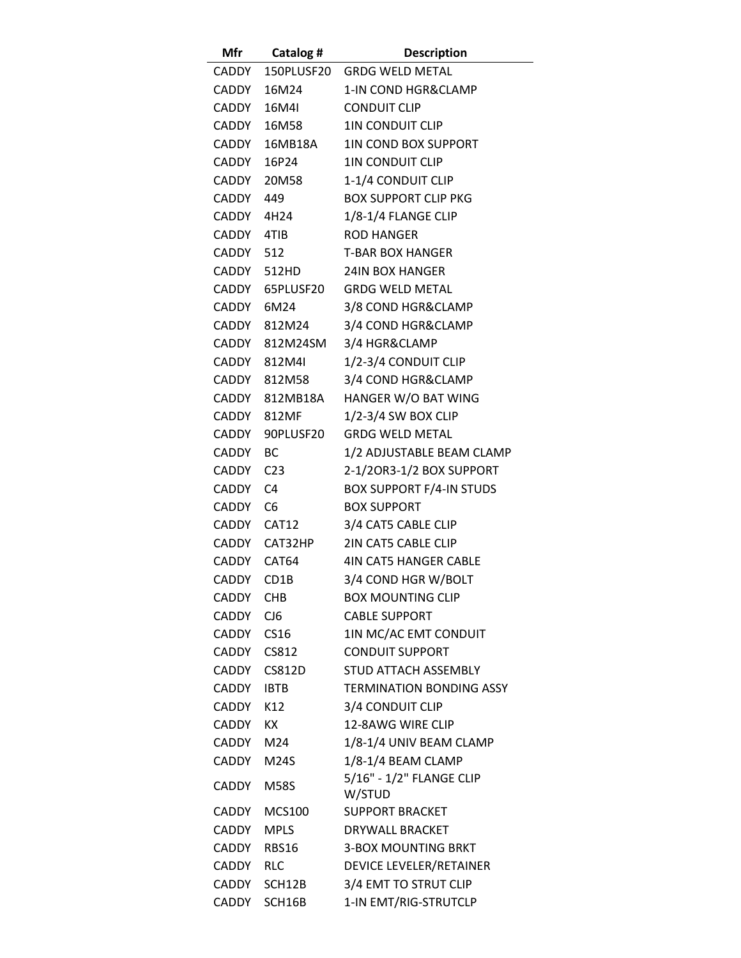| Mfr         | Catalog #       | <b>Description</b>                 |
|-------------|-----------------|------------------------------------|
| CADDY       | 150PLUSF20      | <b>GRDG WELD METAL</b>             |
| CADDY       | 16M24           | 1-IN COND HGR&CLAMP                |
| CADDY       | 16M4I           | <b>CONDUIT CLIP</b>                |
| CADDY       | 16M58           | <b>1IN CONDUIT CLIP</b>            |
| CADDY       | 16MB18A         | <b>1IN COND BOX SUPPORT</b>        |
| CADDY       | 16P24           | <b>1IN CONDUIT CLIP</b>            |
|             | CADDY 20M58     | 1-1/4 CONDUIT CLIP                 |
| CADDY       | 449             | <b>BOX SUPPORT CLIP PKG</b>        |
| CADDY       | 4H24            | 1/8-1/4 FLANGE CLIP                |
| CADDY       | 4TIB            | <b>ROD HANGER</b>                  |
| CADDY 512   |                 | <b>T-BAR BOX HANGER</b>            |
|             | CADDY 512HD     | <b>24IN BOX HANGER</b>             |
|             | CADDY 65PLUSF20 | <b>GRDG WELD METAL</b>             |
| CADDY       | 6M24            | 3/8 COND HGR&CLAMP                 |
|             | CADDY 812M24    | 3/4 COND HGR&CLAMP                 |
|             | CADDY 812M24SM  | 3/4 HGR&CLAMP                      |
| CADDY       | 812M4I          | 1/2-3/4 CONDUIT CLIP               |
|             | CADDY 812M58    | 3/4 COND HGR&CLAMP                 |
|             | CADDY 812MB18A  | HANGER W/O BAT WING                |
|             | CADDY 812MF     | 1/2-3/4 SW BOX CLIP                |
| CADDY       | 90PLUSF20       | <b>GRDG WELD METAL</b>             |
| CADDY       | <b>BC</b>       | 1/2 ADJUSTABLE BEAM CLAMP          |
| CADDY       | C <sub>23</sub> | 2-1/20R3-1/2 BOX SUPPORT           |
| CADDY C4    |                 | <b>BOX SUPPORT F/4-IN STUDS</b>    |
| CADDY       | C <sub>6</sub>  | <b>BOX SUPPORT</b>                 |
| CADDY CAT12 |                 | 3/4 CAT5 CABLE CLIP                |
|             | CADDY CAT32HP   | 2IN CAT5 CABLE CLIP                |
| CADDY CAT64 |                 | <b>4IN CAT5 HANGER CABLE</b>       |
| CADDY       | CD1B            | 3/4 COND HGR W/BOLT                |
| CADDY       | <b>CHB</b>      | <b>BOX MOUNTING CLIP</b>           |
| CADDY       | CJ6             | <b>CABLE SUPPORT</b>               |
| CADDY CS16  |                 | 1IN MC/AC EMT CONDUIT              |
| CADDY CS812 |                 | <b>CONDUIT SUPPORT</b>             |
|             | CADDY CS812D    | <b>STUD ATTACH ASSEMBLY</b>        |
| CADDY       | <b>IBTB</b>     | <b>TERMINATION BONDING ASSY</b>    |
| CADDY       | K12             | 3/4 CONDUIT CLIP                   |
| CADDY       | KX.             | 12-8AWG WIRE CLIP                  |
| CADDY       | M24             | 1/8-1/4 UNIV BEAM CLAMP            |
| CADDY       | M24S            | 1/8-1/4 BEAM CLAMP                 |
| CADDY       | <b>M58S</b>     | 5/16" - 1/2" FLANGE CLIP<br>W/STUD |
|             | CADDY MCS100    | <b>SUPPORT BRACKET</b>             |
| CADDY       | <b>MPLS</b>     | DRYWALL BRACKET                    |
| CADDY       | RBS16           | <b>3-BOX MOUNTING BRKT</b>         |
| CADDY       | <b>RLC</b>      | <b>DEVICE LEVELER/RETAINER</b>     |
|             | CADDY SCH12B    | 3/4 EMT TO STRUT CLIP              |
|             | CADDY SCH16B    | 1-IN EMT/RIG-STRUTCLP              |